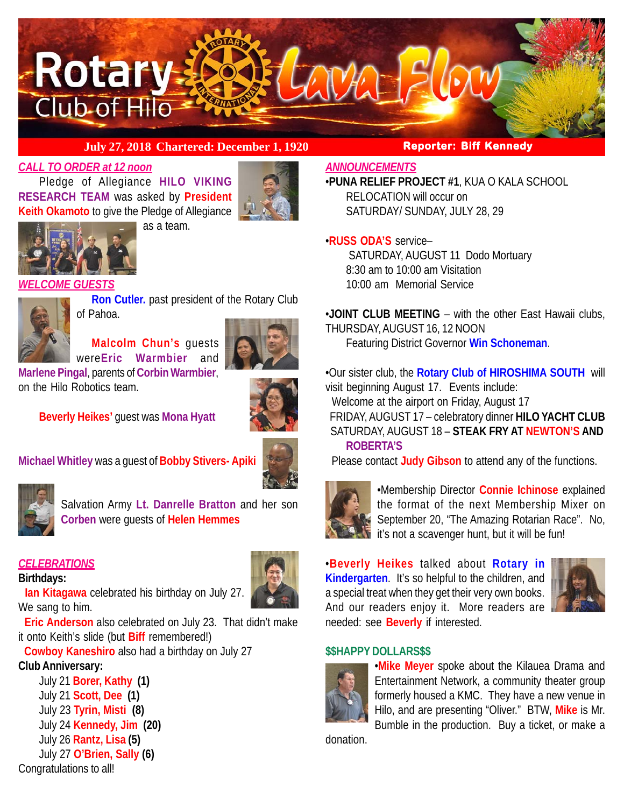

# **July 27, 2018 Chartered: December 1, 1920 Reporter: Biff Kennedy**

# *CALL TO ORDER at 12 noon*

Pledge of Allegiance **HILO VIKING RESEARCH TEAM** was asked by **President Keith Okamoto** to give the Pledge of Allegiance as a team.





*WELCOME GUESTS*



**Ron Cutler.** past president of the Rotary Club of Pahoa.

**Malcolm Chun's** guests were**Eric Warmbier** and



**Marlene Pingal**, parents of **Corbin Warmbier**, on the Hilo Robotics team.



**Beverly Heikes'** guest was **Mona Hyatt**







Salvation Army **Lt. Danrelle Bratton** and her son **Corben** were guests of **Helen Hemmes**

# *CELEBRATIONS*

**Birthdays:**



 **Eric Anderson** also celebrated on July 23. That didn't make it onto Keith's slide (but **Biff** remembered!)

 **Cowboy Kaneshiro** also had a birthday on July 27

# **Club Anniversary:**

July 21 **Borer, Kathy (1)** July 21 **Scott, Dee (1)** July 23 **Tyrin, Misti (8)** July 24 **Kennedy, Jim (20)** July 26 **Rantz, Lisa (5)** July 27 **O'Brien, Sally (6)** Congratulations to all!

## *ANNOUNCEMENTS*

•**PUNA RELIEF PROJECT #1**, KUA O KALA SCHOOL RELOCATION will occur on SATURDAY/ SUNDAY, JULY 28, 29

# •**RUSS ODA'S** service–

 SATURDAY, AUGUST 11 Dodo Mortuary 8:30 am to 10:00 am Visitation 10:00 am Memorial Service

•**JOINT CLUB MEETING** – with the other East Hawaii clubs, THURSDAY, AUGUST 16, 12 NOON

Featuring District Governor **Win Schoneman**.

•Our sister club, the **Rotary Club of HIROSHIMA SOUTH** will visit beginning August 17. Events include:

Welcome at the airport on Friday, August 17

 FRIDAY, AUGUST 17 – celebratory dinner **HILO YACHT CLUB** SATURDAY, AUGUST 18 – **STEAK FRY AT NEWTON'S AND ROBERTA'S**

Please contact **Judy Gibson** to attend any of the functions.



•Membership Director **Connie Ichinose** explained the format of the next Membership Mixer on September 20, "The Amazing Rotarian Race". No,  $\mathbf{N}$  it's not a scavenger hunt, but it will be fun!

•**Beverly Heikes** talked about **Rotary in Kindergarten**. It's so helpful to the children, and a special treat when they get their very own books. And our readers enjoy it. More readers are needed: see **Beverly** if interested.



## **\$\$HAPPY DOLLARS\$\$**



•**Mike Meyer** spoke about the Kilauea Drama and Entertainment Network, a community theater group formerly housed a KMC. They have a new venue in Hilo, and are presenting "Oliver." BTW, **Mike** is Mr. Bumble in the production. Buy a ticket, or make a

donation.